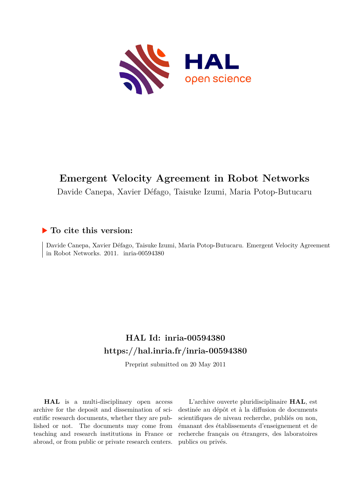

# **Emergent Velocity Agreement in Robot Networks**

Davide Canepa, Xavier Défago, Taisuke Izumi, Maria Potop-Butucaru

## **To cite this version:**

Davide Canepa, Xavier Défago, Taisuke Izumi, Maria Potop-Butucaru. Emergent Velocity Agreement in Robot Networks.  $2011.$  inria- $00594380$ 

# **HAL Id: inria-00594380 <https://hal.inria.fr/inria-00594380>**

Preprint submitted on 20 May 2011

**HAL** is a multi-disciplinary open access archive for the deposit and dissemination of scientific research documents, whether they are published or not. The documents may come from teaching and research institutions in France or abroad, or from public or private research centers.

L'archive ouverte pluridisciplinaire **HAL**, est destinée au dépôt et à la diffusion de documents scientifiques de niveau recherche, publiés ou non, émanant des établissements d'enseignement et de recherche français ou étrangers, des laboratoires publics ou privés.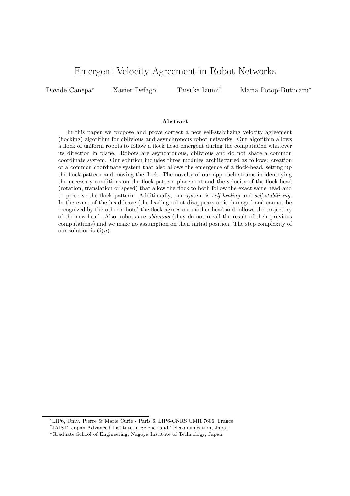## Emergent Velocity Agreement in Robot Networks

Davide Canepa<sup>∗</sup> Xavier Defago† Taisuke Izumi‡ Maria Potop-Butucaru<sup>∗</sup>

#### Abstract

In this paper we propose and prove correct a new self-stabilizing velocity agreement (flocking) algorithm for oblivious and asynchronous robot networks. Our algorithm allows a flock of uniform robots to follow a flock head emergent during the computation whatever its direction in plane. Robots are asynchronous, oblivious and do not share a common coordinate system. Our solution includes three modules architectured as follows: creation of a common coordinate system that also allows the emergence of a flock-head, setting up the flock pattern and moving the flock. The novelty of our approach steams in identifying the necessary conditions on the flock pattern placement and the velocity of the flock-head (rotation, translation or speed) that allow the flock to both follow the exact same head and to preserve the flock pattern. Additionally, our system is *self-healing* and *self-stabilizing*. In the event of the head leave (the leading robot disappears or is damaged and cannot be recognized by the other robots) the flock agrees on another head and follows the trajectory of the new head. Also, robots are oblivious (they do not recall the result of their previous computations) and we make no assumption on their initial position. The step complexity of our solution is  $O(n)$ .

<sup>∗</sup>LIP6, Univ. Pierre & Marie Curie - Paris 6, LIP6-CNRS UMR 7606, France.

<sup>†</sup> JAIST, Japan Advanced Institute in Science and Telecomunication, Japan

<sup>‡</sup>Graduate School of Engineering, Nagoya Institute of Technology, Japan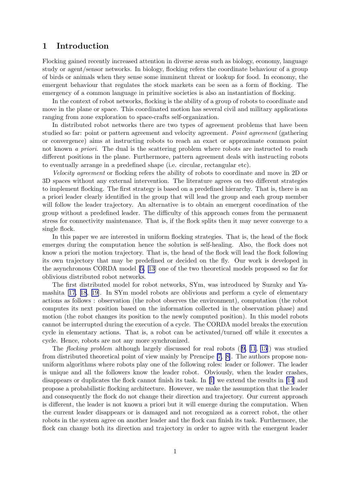## 1 Introduction

Flocking gained recently increased attention in diverse areas such as biology, economy, language study or agent/sensor networks. In biology, flocking refers the coordinate behaviour of a group of birds or animals when they sense some imminent threat or lookup for food. In economy, the emergent behaviour that regulates the stock markets can be seen as a form of flocking. The emergency of a common language in primitive societies is also an instantiation of flocking.

In the context of robot networks, flocking is the ability of a group of robots to coordinate and move in the plane or space. This coordinated motion has several civil and military applications ranging from zone exploration to space-crafts self-organization.

In distributed robot networks there are two types of agreement problems that have been studied so far: point or pattern agreement and velocity agreement. Point agreement (gathering or convergence) aims at instructing robots to reach an exact or approximate common point not known a priori. The dual is the scattering problem where robots are instructed to reach different positions in the plane. Furthermore, pattern agreement deals with instructing robots to eventually arrange in a predefined shape (i.e. circular, rectangular etc).

Velocity agreement or flocking refers the ability of robots to coordinate and move in 2D or 3D spaces without any external intervention. The literature agrees on two different strategies to implement flocking. The first strategy is based on a predefined hierarchy. That is, there is an a priori leader clearly identified in the group that will lead the group and each group member will follow the leader trajectory. An alternative is to obtain an emergent coordination of the group without a predefined leader. The difficulty of this approach comes from the permanent stress for connectivity maintenance. That is, if the flock splits then it may never converge to a single flock.

In this paper we are interested in uniform flocking strategies. That is, the head of the flock emerges during the computation hence the solution is self-healing. Also, the flock does not know a priori the motion trajectory. That is, the head of the flock will lead the flock following its own trajectory that may be predefined or decided on the fly. Our work is developed in the asynchronous CORDA model [\[5](#page-12-0), [13](#page-12-0)] one of the two theoretical models proposed so far for oblivious distributed robot networks.

The first distributed model for robot networks, SYm, was introduced by Suzuky and Yamashita [\[17](#page-12-0), [18](#page-13-0), [19\]](#page-13-0). In SYm model robots are oblivious and perform a cycle of elementary actions as follows : observation (the robot observes the environment), computation (the robot computes its next position based on the information collected in the observation phase) and motion (the robot changes its position to the newly computed position). In this model robots cannot be interrupted during the execution of a cycle. The CORDA model breaks the execution cycle in elementary actions. That is, a robot can be activated/turned off while it executes a cycle. Hence, robots are not any more synchronized.

The *flocking problem* although largely discussed for real robots  $(9, 11, 15)$  $(9, 11, 15)$  $(9, 11, 15)$  was studied from distributed theoretical point of view mainly by Prencipe [\[7](#page-12-0), [8\]](#page-12-0). The authors propose nonuniform algorithms where robots play one of the following roles: leader or follower. The leader is unique and all the followers know the leader robot. Obviously, when the leader crashes, disappears or duplicates the flock cannot finish its task. In [\[1\]](#page-12-0) we extend the results in [\[14](#page-12-0)] and propose a probabilistic flocking architecture. However, we make the assumption that the leader and consequently the flock do not change their direction and trajectory. Our current approach is different, the leader is not known a priori but it will emerge during the computation. When the current leader disappears or is damaged and not recognized as a correct robot, the other robots in the system agree on another leader and the flock can finish its task. Furthermore, the flock can change both its direction and trajectory in order to agree with the emergent leader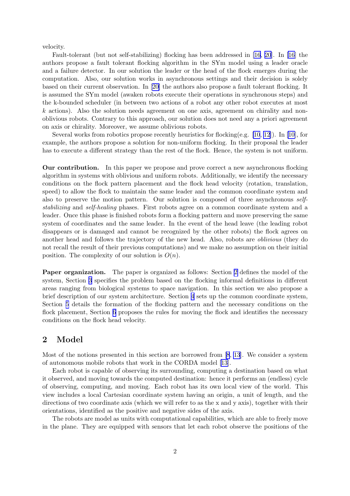velocity.

Fault-tolerant (but not self-stabilizing) flocking has been addressed in [\[16](#page-12-0), [20](#page-13-0)]. In [\[16](#page-12-0)] the authors propose a fault tolerant flocking algorithm in the SYm model using a leader oracle and a failure detector. In our solution the leader or the head of the flock emerges during the computation. Also, our solution works in asynchronous settings and their decision is solely based on their current observation. In[[20\]](#page-13-0) the authors also propose a fault tolerant flocking. It is assumed the SYm model (awaken robots execute their operations in synchronous steps) and the k-bounded scheduler (in between two actions of a robot any other robot executes at most  $k$  actions). Also the solution needs agreement on one axis, agreement on chirality and nonoblivious robots. Contrary to this approach, our solution does not need any a priori agreement on axis or chirality. Moreover, we assume oblivious robots.

Several works from robotics propose recently heuristics for flocking(e.g. [\[10](#page-12-0), [12](#page-12-0)]). In [10], for example, the authors propose a solution for non-uniform flocking. In their proposal the leader has to execute a different strategy than the rest of the flock. Hence, the system is not uniform.

Our contribution. In this paper we propose and prove correct a new asynchronous flocking algorithm in systems with oblivious and uniform robots. Additionally, we identify the necessary conditions on the flock pattern placement and the flock head velocity (rotation, translation, speed) to allow the flock to maintain the same leader and the common coordinate system and also to preserve the motion pattern. Our solution is composed of three asynchronous selfstabilizing and self-healing phases. First robots agree on a common coordinate system and a leader. Once this phase is finished robots form a flocking pattern and move preserving the same system of coordinates and the same leader. In the event of the head leave (the leading robot disappears or is damaged and cannot be recognized by the other robots) the flock agrees on another head and follows the trajectory of the new head. Also, robots are oblivious (they do not recall the result of their previous computations) and we make no assumption on their initial position. The complexity of our solution is  $O(n)$ .

Paper organization. The paper is organized as follows: Section 2 defines the model of the system, Section [3](#page-4-0) specifies the problem based on the flocking informal definitions in different areas ranging from biological systems to space navigation. In this section we also propose a brief description of our system architecture. Section [4](#page-5-0) sets up the common coordinate system, Section [5](#page-6-0) details the formation of the flocking pattern and the necessary conditions on the flock placement, Section [6](#page-8-0) proposes the rules for moving the flock and identifies the necessary conditions on the flock head velocity.

## 2 Model

Most of the notions presented in this section are borrowed from [\[8](#page-12-0), [13](#page-12-0)]. We consider a system of autonomous mobile robots that work in the CORDA model [\[13](#page-12-0)].

Each robot is capable of observing its surrounding, computing a destination based on what it observed, and moving towards the computed destination: hence it performs an (endless) cycle of observing, computing, and moving. Each robot has its own local view of the world. This view includes a local Cartesian coordinate system having an origin, a unit of length, and the directions of two coordinate axis (which we will refer to as the x and y axis), together with their orientations, identified as the positive and negative sides of the axis.

The robots are model as units with computational capabilities, which are able to freely move in the plane. They are equipped with sensors that let each robot observe the positions of the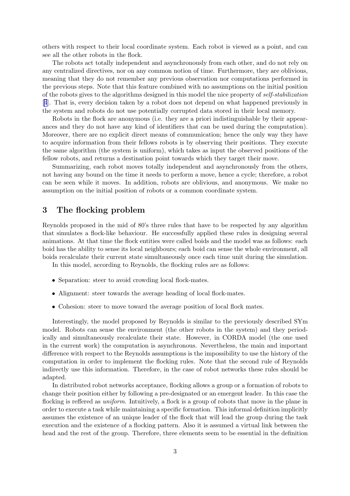<span id="page-4-0"></span>others with respect to their local coordinate system. Each robot is viewed as a point, and can see all the other robots in the flock.

The robots act totally independent and asynchronously from each other, and do not rely on any centralized directives, nor on any common notion of time. Furthermore, they are oblivious, meaning that they do not remember any previous observation nor computations performed in the previous steps. Note that this feature combined with no assumptions on the initial position of the robots gives to the algorithms designed in this model the nice property of self-stabilization [\[4](#page-12-0)]. That is, every decision taken by a robot does not depend on what happened previously in the system and robots do not use potentially corrupted data stored in their local memory.

Robots in the flock are anonymous (i.e. they are a priori indistinguishable by their appearances and they do not have any kind of identifiers that can be used during the computation). Moreover, there are no explicit direct means of communication; hence the only way they have to acquire information from their fellows robots is by observing their positions. They execute the same algorithm (the system is uniform), which takes as input the observed positions of the fellow robots, and returns a destination point towards which they target their move.

Summarizing, each robot moves totally independent and asynchronously from the others, not having any bound on the time it needs to perform a move, hence a cycle; therefore, a robot can be seen while it moves. In addition, robots are oblivious, and anonymous. We make no assumption on the initial position of robots or a common coordinate system.

## 3 The flocking problem

Reynolds proposed in the mid of 80's three rules that have to be respected by any algorithm that simulates a flock-like behaviour. He successfully applied these rules in designing several animations. At that time the flock entities were called boids and the model was as follows: each boid has the ability to sense its local neighbours; each boid can sense the whole environment, all boids recalculate their current state simultaneously once each time unit during the simulation.

In this model, according to Reynolds, the flocking rules are as follows:

- Separation: steer to avoid crowding local flock-mates.
- Alignment: steer towards the average heading of local flock-mates.
- Cohesion: steer to move toward the average position of local flock mates.

Interestingly, the model proposed by Reynolds is similar to the previously described SYm model. Robots can sense the environment (the other robots in the system) and they periodically and simultaneously recalculate their state. However, in CORDA model (the one used in the current work) the computation is asynchronous. Nevertheless, the main and important difference with respect to the Reynolds assumptions is the impossibility to use the history of the computation in order to implement the flocking rules. Note that the second rule of Reynolds indirectly use this information. Therefore, in the case of robot networks these rules should be adapted.

In distributed robot networks acceptance, flocking allows a group or a formation of robots to change their position either by following a pre-designated or an emergent leader. In this case the flocking is reffered as *uniform*. Intuitively, a flock is a group of robots that move in the plane in order to execute a task while maintaining a specific formation. This informal definition implicitly assumes the existence of an unique leader of the flock that will lead the group during the task execution and the existence of a flocking pattern. Also it is assumed a virtual link between the head and the rest of the group. Therefore, three elements seem to be essential in the definition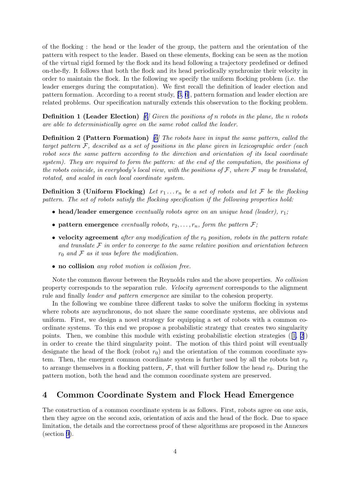<span id="page-5-0"></span>of the flocking : the head or the leader of the group, the pattern and the orientation of the pattern with respect to the leader. Based on these elements, flocking can be seen as the motion of the virtual rigid formed by the flock and its head following a trajectory predefined or defined on-the-fly. It follows that both the flock and its head periodically synchronize their velocity in order to maintain the flock. In the following we specify the uniform flocking problem (i.e. the leader emerges during the computation). We first recall the definition of leader election and pattern formation. According to a recent study, [\[3, 6](#page-12-0)], pattern formation and leader election are related problems. Our specification naturally extends this observation to the flocking problem.

**Definition 1 (Leader Election)** [[6](#page-12-0)] Given the positions of n robots in the plane, the n robots are able to deterministically agree on the same robot called the leader.

**Definition 2 (Pattern Formation)** [\[6\]](#page-12-0) The robots have in input the same pattern, called the target pattern  $F$ , described as a set of positions in the plane given in lexicographic order (each robot sees the same pattern according to the direction and orientation of its local coordinate system). They are required to form the pattern: at the end of the computation, the positions of the robots coincide, in everybody's local view, with the positions of  $\mathcal{F}$ , where  $\mathcal{F}$  may be translated, rotated, and scaled in each local coordinate system.

**Definition 3 (Uniform Flocking)** Let  $r_1 \ldots r_n$  be a set of robots and let  $\mathcal F$  be the flocking pattern. The set of robots satisfy the flocking specification if the following properties hold:

- head/leader emergence eventually robots agree on an unique head (leader),  $r_1$ ;
- pattern emergence eventually robots,  $r_2, \ldots, r_n$ , form the pattern  $\mathcal{F}$ ;
- velocity agreement after any modification of the  $r_0$  position, robots in the pattern rotate and translate  $\mathcal F$  in order to converge to the same relative position and orientation between  $r_0$  and  $\mathcal F$  as it was before the modification.
- no collision *any robot motion is collision free.*

Note the common flavour between the Reynolds rules and the above properties. No collision property corresponds to the separation rule. Velocity agreement corresponds to the alignment rule and finally leader and pattern emergence are similar to the cohesion property.

In the following we combine three different tasks to solve the uniform flocking in systems where robots are asynchronous, do not share the same coordinate systems, are oblivious and uniform. First, we design a novel strategy for equipping a set of robots with a common coordinate systems. To this end we propose a probabilistic strategy that creates two singularity points. Then, we combine this module with existing probabilistic election strategies  $([1, 2])$  $([1, 2])$  $([1, 2])$ in order to create the third singularity point. The motion of this third point will eventually designate the head of the flock (robot  $r_0$ ) and the orientation of the common coordinate system. Then, the emergent common coordinate system is further used by all the robots but  $r_0$ to arrange themselves in a flocking pattern,  $\mathcal{F}$ , that will further follow the head  $r_0$ . During the pattern motion, both the head and the common coordinate system are preserved.

## 4 Common Coordinate System and Flock Head Emergence

The construction of a common coordinate system is as follows. First, robots agree on one axis, then they agree on the second axis, orientation of axis and the head of the flock. Due to space limitation, the details and the correctness proof of these algorithms are proposed in the Annexes (section [9](#page-14-0)).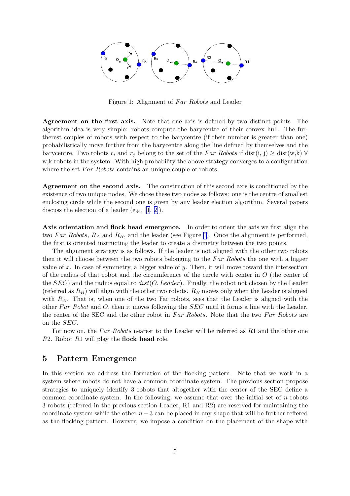<span id="page-6-0"></span>

Figure 1: Alignment of Far Robots and Leader

Agreement on the first axis. Note that one axis is defined by two distinct points. The algorithm idea is very simple: robots compute the barycentre of their convex hull. The furtherest couples of robots with respect to the barycentre (if their number is greater than one) probabilistically move further from the barycentre along the line defined by themselves and the barycentre. Two robots  $r_i$  and  $r_j$  belong to the set of the Far Robots if dist(i, j)  $\geq$  dist(w,k)  $\forall$ w,k robots in the system. With high probability the above strategy converges to a configuration where the set Far Robots contains an unique couple of robots.

Agreement on the second axis. The construction of this second axis is conditioned by the existence of two unique nodes. We chose these two nodes as follows: one is the centre of smallest enclosing circle while the second one is given by any leader election algorithm. Several papers discuss the election of a leader (e.g. [\[1, 2](#page-12-0)]).

Axis orientation and flock head emergence. In order to orient the axis we first align the two Far Robots,  $R_A$  and  $R_B$ , and the leader (see Figure 1). Once the alignment is performed, the first is oriented instructing the leader to create a disimetry between the two points.

The alignment strategy is as follows. If the leader is not aligned with the other two robots then it will choose between the two robots belonging to the Far Robots the one with a bigger value of x. In case of symmetry, a bigger value of y. Then, it will move toward the intersection of the radius of that robot and the circumference of the cercle with center in  $O$  (the center of the  $SEC)$  and the radius equal to  $dist(O, Leader)$ . Finally, the robot not chosen by the Leader (referred as  $R_B$ ) will align with the other two robots.  $R_B$  moves only when the Leader is aligned with  $R_A$ . That is, when one of the two Far robots, sees that the Leader is aligned with the other Far Robot and O, then it moves following the  $SEC$  until it forms a line with the Leader, the center of the SEC and the other robot in Far Robots. Note that the two Far Robots are on the SEC.

For now on, the Far Robots nearest to the Leader will be referred as  $R1$  and the other one  $R2.$  Robot  $R1$  will play the **flock head** role.

## 5 Pattern Emergence

In this section we address the formation of the flocking pattern. Note that we work in a system where robots do not have a common coordinate system. The previous section propose strategies to uniquely identify 3 robots that altogether with the center of the SEC define a common coordinate system. In the following, we assume that over the initial set of  $n$  robots 3 robots (referred in the previous section Leader, R1 and R2) are reserved for maintaining the coordinate system while the other  $n-3$  can be placed in any shape that will be further reffered as the flocking pattern. However, we impose a condition on the placement of the shape with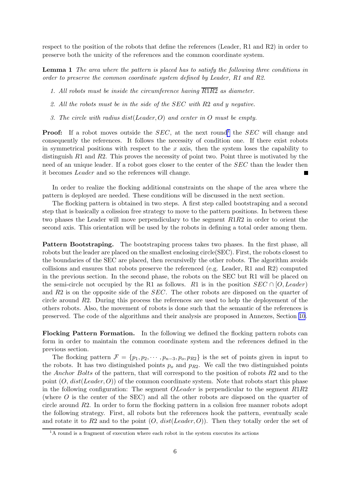<span id="page-7-0"></span>respect to the position of the robots that define the references (Leader, R1 and R2) in order to preserve both the unicity of the references and the common coordinate system.

Lemma 1 The area where the pattern is placed has to satisfy the following three conditions in order to preserve the common coordinate system defined by Leader, R1 and R2.

- 1. All robots must be inside the circumference having  $\overline{R1R2}$  as diameter.
- 2. All the robots must be in the side of the SEC with R2 and y negative.
- 3. The circle with radius dist(Leader, O) and center in O must be empty.

**Proof:** If a robot moves outside the  $SEC$ , at the next round<sup>1</sup> the  $SEC$  will change and consequently the references. It follows the necessity of condition one. If there exist robots in symmetrical positions with respect to the  $x$  axis, then the system loses the capability to distinguish R1 and R2. This proves the necessity of point two. Point three is motivated by the need of an unique leader. If a robot goes closer to the center of the SEC than the leader then it becomes Leader and so the references will change.

In order to realize the flocking additional constraints on the shape of the area where the pattern is deployed are needed. These conditions will be discussed in the next section.

The flocking pattern is obtained in two steps. A first step called bootstraping and a second step that is basically a colission free strategy to move to the pattern positions. In between these two phases the Leader will move perpendiculary to the segment R1R2 in order to orient the second axis. This orientation will be used by the robots in defining a total order among them.

Pattern Bootstraping. The bootstraping process takes two phases. In the first phase, all robots but the leader are placed on the smallest enclosing circle(SEC). First, the robots closest to the boundaries of the SEC are placed, then recursivelly the other robots. The algorithm avoids collisions and ensures that robots preserve the referenced (e.g. Leader, R1 and R2) computed in the previous section. In the second phase, the robots on the SEC but R1 will be placed on the semi-circle not occupied by the R1 as follows. R1 is in the position  $SEC \cap [O, Leader)$ and R2 is on the opposite side of the *SEC*. The other robots are disposed on the quarter of circle around R2. During this process the references are used to help the deployement of the others robots. Also, the movement of robots is done such that the semantic of the references is preserved. The code of the algorithms and their analysis are proposed in Annexes, Section [10](#page-16-0).

Flocking Pattern Formation. In the following we defined the flocking pattern robots can form in order to maintain the common coordinate system and the references defined in the previous section.

The flocking pattern  $\mathcal{F} = \{p_1, p_2, \cdots, p_{n-3}, p_o, p_{R2}\}\$ is the set of points given in input to the robots. It has two distinguished points  $p<sub>o</sub>$  and  $p<sub>R2</sub>$ . We call the two distinguished points the Anchor Bolts of the pattern, that will correspond to the position of robots R2 and to the point  $(O, dist(Leader, O))$  of the common coordinate system. Note that robots start this phase in the following configuration: The segment OLeader is perpendicular to the segment R1R2 (where  $O$  is the center of the SEC) and all the other robots are disposed on the quarter of circle around R2. In order to form the flocking pattern in a colision free manner robots adopt the following strategy. First, all robots but the references hook the pattern, eventually scale and rotate it to R2 and to the point  $(O, dist(Leader, O))$ . Then they totally order the set of

 ${}^{1}$ A round is a fragment of execution where each robot in the system executes its actions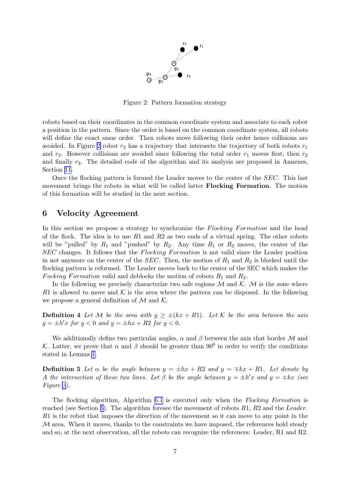

Figure 2: Pattern formation strategy

<span id="page-8-0"></span>robots based on their coordinates in the common coordinate system and associate to each robot a position in the pattern. Since the order is based on the common coordinate system, all robots will define the exact same order. Then robots move following their order hence collisions are avoided. In Figure 2 robot  $r_2$  has a trajectory that intersects the trajectory of both robots  $r_1$ and  $r_3$ . However collisions are avoided since following the total order  $r_1$  moves first, then  $r_2$ and finally  $r_3$ . The detailed code of the algorithm and its analysis are proposed in Annexes, Section [11.](#page-20-0)

Once the flocking pattern is formed the Leader moves to the center of the SEC. This last movement brings the robots in what will be called latter Flocking Formation. The motion of this formation will be studied in the next section.

## 6 Velocity Agreement

In this section we propose a strategy to synchronize the Flocking Formation and the head of the flock. The idea is to use  $R1$  and  $R2$  as two ends of a virtual spring. The other robots will be "pulled" by  $R_1$  and "pushed" by  $R_2$ . Any time  $R_1$  or  $R_2$  moves, the center of the SEC changes. It follows that the Flocking Formation is not valid since the Leader position in not anymore on the center of the SEC. Then, the motion of  $R_1$  and  $R_2$  is blocked until the flocking pattern is reformed. The Leader moves back to the center of the SEC which makes the Focking Formation valid and deblocks the motion of robots  $R_1$  and  $R_2$ .

In the following we precisely characterize two safe regions  $\mathcal M$  and  $\mathcal K$ .  $\mathcal M$  is the zone where R1 is allowed to move and K is the area where the pattern can be disposed. In the following we propose a general definition of  $\mathcal M$  and  $\mathcal K$ .

**Definition 4** Let M be the area with  $y \geq \pm (kx + R1)$ . Let K be the area between the axis  $y = \pm h'x$  for  $y < 0$  and  $y = \pm hx + R2$  for  $y < 0$ .

We additionally define two particular angles,  $\alpha$  and  $\beta$  between the axis that border M and K. Latter, we prove that  $\alpha$  and  $\beta$  should be greater than  $90^0$  in order to verify the conditions stated in Lemma [1.](#page-7-0)

**Definition 5** Let  $\alpha$  be the angle between  $y = \pm hx + R2$  and  $y = \mp kx + R1$ . Let denote by A the intersection of these two lines. Let  $\beta$  be the angle between  $y = \pm h'x$  and  $y = \mp kx$  (see Figure [3\)](#page-9-0).

The flocking algorithm, Algorithm [6.1](#page-9-0) is executed only when the Flocking Formation is reached (see Section [5\)](#page-6-0). The algorithm foresee the movement of robots  $R1, R2$  and the Leader. R1 is the robot that imposes the direction of the movement so it can move to any point in the  $M$  area. When it moves, thanks to the constraints we have imposed, the references hold steady and so, at the next observation, all the robots can recognize the references: Leader, R1 and R2.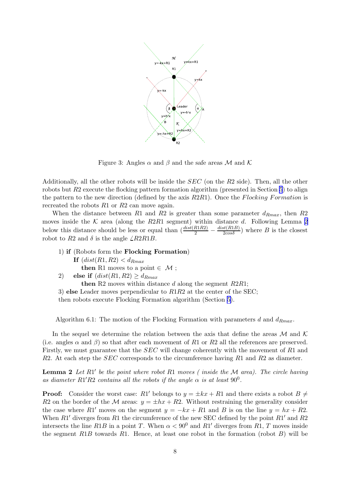<span id="page-9-0"></span>

Figure 3: Angles  $\alpha$  and  $\beta$  and the safe areas M and K

Additionally, all the other robots will be inside the SEC (on the R2 side). Then, all the other robots but  $R2$  execute the flocking pattern formation algorithm (presented in Section [5](#page-6-0)) to align the pattern to the new direction (defined by the axis  $R2R1$ ). Once the Flocking Formation is recreated the robots R1 or R2 can move again.

When the distance between R1 and R2 is greater than some parameter  $d_{Rmax}$ , then R2 moves inside the  $K$  area (along the R2R1 segment) within distance d. Following Lemma 2 below this distance should be less or equal than  $\left(\frac{dist(R1R2)}{2} - \frac{dist(R1B)}{2cos\delta}\right)$  where B is the closest robot to R2 and  $\delta$  is the angle  $\angle R2R1B$ .

1) if (Robots form the Flocking Formation) If  $(dist(R1, R2) < d_{Rmax}$ then R1 moves to a point  $\in \mathcal{M}$ ; 2) else if  $(dist(R1, R2) \geq d_{Rmax})$ then R2 moves within distance d along the segment  $R2R1$ ; 3) else Leader moves perpendicular to  $R1R2$  at the center of the SEC;

then robots execute Flocking Formation algorithm (Section [5\)](#page-6-0).

Algorithm 6.1: The motion of the Flocking Formation with parameters d and  $d_{Rmax}$ .

In the sequel we determine the relation between the axis that define the areas  $\mathcal M$  and  $\mathcal K$ (i.e. angles  $\alpha$  and  $\beta$ ) so that after each movement of R1 or R2 all the references are preserved. Firstly, we must guarantee that the SEC will change coherently with the movement of R1 and R2. At each step the  $SEC$  corresponds to the circumference having R1 and R2 as diameter.

**Lemma 2** Let  $R1'$  be the point where robot  $R1$  moves (inside the  $M$  area). The circle having as diameter R1'R2 contains all the robots if the angle  $\alpha$  is at least 90<sup>0</sup>.

**Proof:** Consider the worst case:  $R1'$  belongs to  $y = \pm kx + R1$  and there exists a robot  $B \neq$ R2 on the border of the M areas:  $y = \pm hx + R2$ . Without restraining the generality consider the case where  $R1'$  moves on the segment  $y = -kx + R1$  and B is on the line  $y = hx + R2$ . When  $R1'$  diverges from  $R1$  the circumference of the new SEC defined by the point  $R1'$  and  $R2$ intersects the line R1B in a point T. When  $\alpha < 90^0$  and R1' diverges from R1, T moves inside the segment  $R1B$  towards R1. Hence, at least one robot in the formation (robot  $B$ ) will be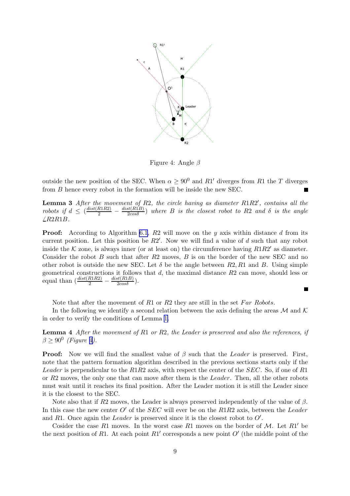

Figure 4: Angle β

outside the new position of the SEC. When  $\alpha \geq 90^0$  and  $R1'$  diverges from R1 the T diverges from B hence every robot in the formation will be inside the new SEC.

**Lemma 3** After the movement of  $R2$ , the circle having as diameter  $R1R2'$ , contains all the robots if  $d \leq \left(\frac{dist(R1R2)}{2} - \frac{dist(R1B)}{2cos\delta}\right)$  where B is the closest robot to R2 and  $\delta$  is the angle  $LR2R1B.$ 

**Proof:** According to Algorithm [6](#page-9-0).1,  $R2$  will move on the y axis within distance d from its current position. Let this position be  $R2'$ . Now we will find a value of  $d$  such that any robot inside the K zone, is always inner (or at least on) the circumference having  $R1R2'$  as diameter. Consider the robot  $B$  such that after  $R2$  moves,  $B$  is on the border of the new SEC and no other robot is outside the new SEC. Let  $\delta$  be the angle between R2, R1 and B. Using simple geometrical constructions it follows that d, the maximal distance R2 can move, should less or equal than  $\left(\frac{dist(R1R2)}{2} - \frac{dist(R1B)}{2cos\delta}\right)$ .

Note that after the movement of  $R1$  or  $R2$  they are still in the set  $Far \, Robots$ .

In the following we identify a second relation between the axis defining the areas  $\mathcal M$  and  $\mathcal K$ in order to verify the conditions of Lemma [1.](#page-7-0)

Lemma 4 After the movement of R1 or R2, the Leader is preserved and also the references, if  $\beta \geq 90^0$  (Figure 4).

**Proof:** Now we will find the smallest value of  $\beta$  such that the Leader is preserved. First, note that the pattern formation algorithm described in the previous sections starts only if the Leader is perpendicular to the  $R1R2$  axis, with respect the center of the SEC. So, if one of R1 or R2 moves, the only one that can move after them is the Leader. Then, all the other robots must wait until it reaches its final position. After the Leader motion it is still the Leader since it is the closest to the SEC.

Note also that if R2 moves, the Leader is always preserved independently of the value of  $\beta$ . In this case the new center  $O'$  of the *SEC* will ever be on the *R1R2* axis, between the *Leader* and R1. Once again the Leader is preserved since it is the closest robot to  $O'$ .

Cosider the case  $R1$  moves. In the worst case  $R1$  moves on the border of  $M$ . Let  $R1'$  be the next position of R1. At each point  $R1'$  corresponds a new point  $O'$  (the middle point of the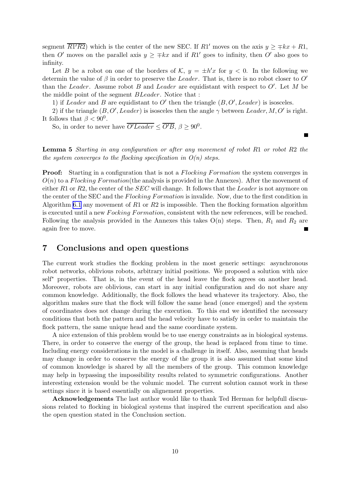segment  $\overline{R1'R2}$ ) which is the center of the new SEC. If  $R1'$  moves on the axis  $y \geq \pm kx + R1$ , then O' moves on the parallel axis  $y \geq \pm kx$  and if R1' goes to infinity, then O' also goes to infinity.

Let B be a robot on one of the borders of K,  $y = \pm h'x$  for  $y < 0$ . In the following we determin the value of  $\beta$  in order to preserve the Leader. That is, there is no robot closer to O' than the Leader. Assume robot  $B$  and Leader are equidistant with respect to  $O'$ . Let  $M$  be the middle point of the segment BLeader. Notice that :

1) if Leader and B are equidistant to O' then the triangle  $(B, O', Leader)$  is isosceles.

2) if the triangle  $(B, O', Leader)$  is isosceles then the angle  $\gamma$  between Leader, M, O' is right. It follows that  $\beta < 90^0$ .

So, in order to never have  $\overline{O'Leader} \leq \overline{O'B}$ ,  $\beta \geq 90^0$ .

Lemma 5 Starting in any configuration or after any movement of robot R1 or robot R2 the the system converges to the flocking specification in  $O(n)$  steps.

**Proof:** Starting in a configuration that is not a Flocking Formation the system converges in  $O(n)$  to a Flocking Formation (the analysis is provided in the Annexes). After the movement of either  $R1$  or  $R2$ , the center of the  $SEC$  will change. It follows that the Leader is not anymore on the center of the SEC and the Flocking Formation is invalide. Now, due to the first condition in Algorithm [6.1](#page-9-0) any movement of R1 or R2 is impossible. Then the flocking formation algorithm is executed until a new Focking Formation, consistent with the new references, will be reached. Following the analysis provided in the Annexes this takes  $O(n)$  steps. Then,  $R_1$  and  $R_2$  are again free to move.

## 7 Conclusions and open questions

The current work studies the flocking problem in the most generic settings: asynchronous robot networks, oblivious robots, arbitrary initial positions. We proposed a solution with nice self<sup>∗</sup> properties. That is, in the event of the head leave the flock agrees on another head. Moreover, robots are oblivious, can start in any initial configuration and do not share any common knowledge. Additionally, the flock follows the head whatever its trajectory. Also, the algorithm makes sure that the flock will follow the same head (once emerged) and the system of coordinates does not change during the execution. To this end we identified the necessary conditions that both the pattern and the head velocity have to satisfy in order to maintain the flock pattern, the same unique head and the same coordinate system.

A nice extension of this problem would be to use energy constraints as in biological systems. There, in order to conserve the energy of the group, the head is replaced from time to time. Including energy considerations in the model is a challenge in itself. Also, assuming that heads may change in order to conserve the energy of the group it is also assumed that some kind of common knowledge is shared by all the members of the group. This common knowledge may help in bypassing the impossibility results related to symmetric configurations. Another interesting extension would be the volumic model. The current solution cannot work in these settings since it is based essentially on alignement properties.

Acknowledgements The last author would like to thank Ted Herman for helpfull discussions related to flocking in biological systems that inspired the current specification and also the open question stated in the Conclusion section.

Н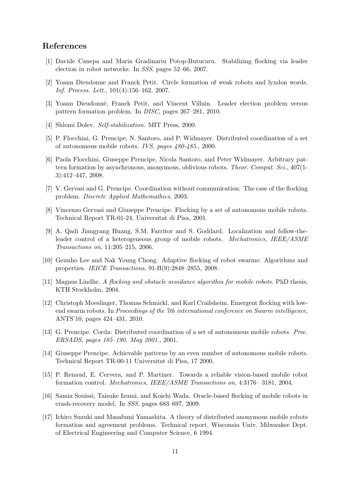## <span id="page-12-0"></span>References

- [1] Davide Canepa and Maria Gradinariu Potop-Butucaru. Stabilizing flocking via leader election in robot networks. In SSS, pages 52–66, 2007.
- [2] Yoann Dieudonne and Franck Petit. Circle formation of weak robots and lyndon words. Inf. Process. Lett., 101(4):156–162, 2007.
- [3] Yoann Dieudonné, Franck Petit, and Vincent Villain. Leader election problem versus pattern formation problem. In DISC, pages 267–281, 2010.
- [4] Shlomi Dolev. Self-stabilization. MIT Press, 2000.
- [5] P. Flocchini, G. Prencipe, N. Santoro, and P. Widmayer. Distributed coordination of a set of autonomous mobile robots. IVS, pages 480-485., 2000.
- [6] Paola Flocchini, Giuseppe Prencipe, Nicola Santoro, and Peter Widmayer. Arbitrary pattern formation by asynchronous, anonymous, oblivious robots. Theor. Comput. Sci., 407(1-3):412–447, 2008.
- [7] V. Gervasi and G. Prencipe. Coordination without communication: The case of the flocking problem. Discrete Applied Mathemathics, 2003.
- [8] Vincenzo Gervasi and Giuseppe Prencipe. Flocking by a set of autonomous mobile robots. Technical Report TR-01-24, Universitat di Pisa, 2001.
- [9] A. Qadi Jiangyang Huang, S.M. Farritor and S. Goddard. Localization and follow-theleader control of a heterogeneous group of mobile robots. Mechatronics, IEEE/ASME Transactions on, 11:205–215, 2006.
- [10] Geunho Lee and Nak Young Chong. Adaptive flocking of robot swarms: Algorithms and properties. IEICE Transactions, 91-B(9):2848–2855, 2008.
- [11] Magnus Lindhe. A flocking and obstacle avoidance algorithm for mobile robots. PhD thesis, KTH Stockholm, 2004.
- [12] Christoph Moeslinger, Thomas Schmickl, and Karl Crailsheim. Emergent flocking with lowend swarm robots. In Proceedings of the 7th international conference on Swarm intelligence, ANTS'10, pages 424–431, 2010.
- [13] G. Prencipe. Corda: Distributed coordination of a set of autonomous mobile robots. Proc. ERSADS, pages 185–190, May 2001., 2001.
- [14] Giuseppe Prencipe. Achievable patterns by an even number of autonomous mobile robots. Technical Report TR-00-11 Universitat di Pisa, 17 2000.
- [15] P. Renaud, E. Cervera, and P. Martiner. Towards a reliable vision-based mobile robot formation control. Mechatronics, IEEE/ASME Transactions on, 4:3176– 3181, 2004.
- [16] Samia Souissi, Taisuke Izumi, and Koichi Wada. Oracle-based flocking of mobile robots in crash-recovery model. In SSS, pages 683–697, 2009.
- [17] Ichiro Suzuki and Masafumi Yamashita. A theory of distributed anonymous mobile robots formation and agreement problems. Technical report, Wisconsin Univ. Milwaukee Dept. of Electrical Engineering and Computer Science, 6 1994.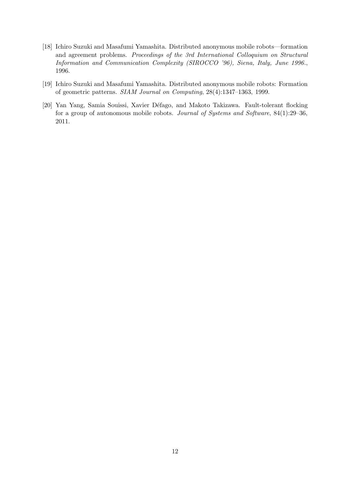- <span id="page-13-0"></span>[18] Ichiro Suzuki and Masafumi Yamashita. Distributed anonymous mobile robots—formation and agreement problems. Proceedings of the 3rd International Colloquium on Structural Information and Communication Complexity (SIROCCO '96), Siena, Italy, June 1996., 1996.
- [19] Ichiro Suzuki and Masafumi Yamashita. Distributed anonymous mobile robots: Formation of geometric patterns. SIAM Journal on Computing, 28(4):1347–1363, 1999.
- [20] Yan Yang, Samia Souissi, Xavier Défago, and Makoto Takizawa. Fault-tolerant flocking for a group of autonomous mobile robots. Journal of Systems and Software, 84(1):29–36, 2011.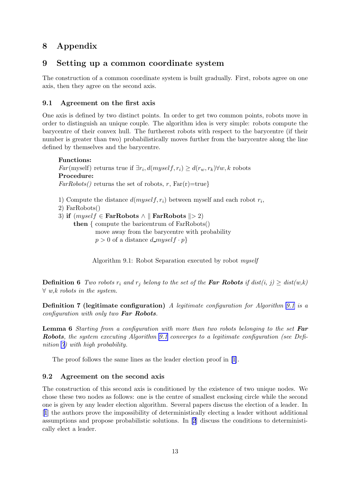## <span id="page-14-0"></span>8 Appendix

## 9 Setting up a common coordinate system

The construction of a common coordinate system is built gradually. First, robots agree on one axis, then they agree on the second axis.

#### 9.1 Agreement on the first axis

One axis is defined by two distinct points. In order to get two common points, robots move in order to distinguish an unique couple. The algorithm idea is very simple: robots compute the barycentre of their convex hull. The furtherest robots with respect to the barycentre (if their number is greater than two) probabilistically moves further from the barycentre along the line defined by themselves and the barycentre.

#### Functions:

 $Far$ (myself) returns true if  $\exists r_i, d(myself, r_i) \geq d(r_w, r_k) \forall w, k$  robots Procedure:  $FarRobots()$  returns the set of robots, r,  $Far(r)=true$ }

- 1) Compute the distance  $d(myself, r_i)$  between myself and each robot  $r_i$ ,
- 2) FarRobots()
- 3) if  $(myself ∈ FarRobots ∧ ∥ FarRobots || > 2)$ 
	- then { compute the baricentrum of FarRobots() move away from the barycentre with probability  $p > 0$  of a distance  $d$ -myself  $\cdot p$ }

Algorithm 9.1: Robot Separation executed by robot myself

**Definition 6** Two robots  $r_i$  and  $r_j$  belong to the set of the **Far Robots** if  $dist(i, j) \geq dist(w, k)$  $\forall$  w, k robots in the system.

**Definition 7 (legitimate configuration)** A legitimate configuration for Algorithm 9.1 is a configuration with only two Far Robots.

Lemma 6 Starting from a configuration with more than two robots belonging to the set Far Robots, the system executing Algorithm 9.1 converges to a legitimate configuration (see Definition 7) with high probability.

The proof follows the same lines as the leader election proof in [\[1\]](#page-12-0).

#### 9.2 Agreement on the second axis

The construction of this second axis is conditioned by the existence of two unique nodes. We chose these two nodes as follows: one is the centre of smallest enclosing circle while the second one is given by any leader election algorithm. Several papers discuss the election of a leader. In [\[1](#page-12-0)] the authors prove the impossibility of deterministically electing a leader without additional assumptions and propose probabilistic solutions. In[[2](#page-12-0)] discuss the conditions to deterministically elect a leader.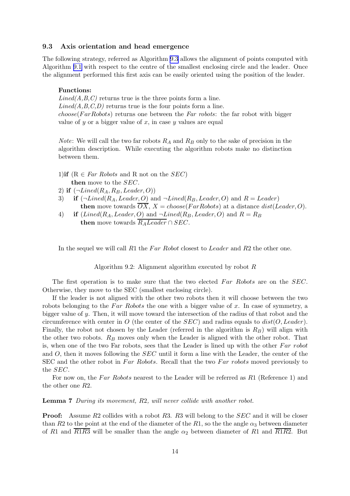#### 9.3 Axis orientation and head emergence

The following strategy, referred as Algorithm 9.3 allows the alignment of points computed with Algorithm [9.1](#page-14-0) with respect to the centre of the smallest enclosing circle and the leader. Once the alignment performed this first axis can be easily oriented using the position of the leader.

#### Functions:

 $Lined(A,B,C)$  returns true is the three points form a line.  $Lined(A, B, C, D)$  returns true is the four points form a line.  $choose(FarRobots)$  returns one between the Far robots: the far robot with bigger value of y or a bigger value of x, in case y values are equal

*Note*: We will call the two far robots  $R_A$  and  $R_B$  only to the sake of precision in the algorithm description. While executing the algorithm robots make no distinction between them.

- 1)if  $(R \in Far \; Roberts \;and \;R \;not \;on \;the \;SEC)$ then move to the SEC.
- 2) if  $(\neg Linear(R_A, R_B, Leader, O))$
- 3) if  $(\neg Linear(R_A, Leader, O)$  and  $\neg Linear(R_B, Leader, O)$  and  $R = Leader$ then move towards  $OX, X = choose(FarRobots)$  at a distance  $dist(Leader, O)$ .
- 4) if  $(Lined(R_A, Leader, O)$  and  $\neg Linear(R_B, Leader, O)$  and  $R = R_B$ then move towards  $R_{A}$ Leader ∩ SEC.

In the sequel we will call  $R1$  the  $Far \, Robot$  closest to Leader and  $R2$  the other one.

Algorithm 9.2: Alignment algorithm executed by robot R

The first operation is to make sure that the two elected Far Robots are on the SEC. Otherwise, they move to the SEC (smallest enclosing circle).

If the leader is not aligned with the other two robots then it will choose between the two robots belonging to the Far Robots the one with a bigger value of  $x$ . In case of symmetry, a bigger value of  $y$ . Then, it will move toward the intersection of the radius of that robot and the circumference with center in O (the center of the  $SEC)$  and radius equals to  $dist(O, Leader)$ . Finally, the robot not chosen by the Leader (referred in the algorithm is  $R_B$ ) will align with the other two robots.  $R_B$  moves only when the Leader is aligned with the other robot. That is, when one of the two Far robots, sees that the Leader is lined up with the other  $Far$  robot and  $O$ , then it moves following the  $SEC$  until it form a line with the Leader, the center of the SEC and the other robot in Far Robots. Recall that the two Far robots moved previously to the SEC.

For now on, the Far Robots nearest to the Leader will be referred as  $R1$  (Reference 1) and the other one R2.

Lemma 7 During its movement, R2, will never collide with another robot.

**Proof:** Assume R2 collides with a robot R3. R3 will belong to the *SEC* and it will be closer than R2 to the point at the end of the diameter of the R1, so the the angle  $\alpha_3$  between diameter of R1 and  $\overline{R1R3}$  will be smaller than the angle  $\alpha_2$  between diameter of R1 and  $\overline{R1R2}$ . But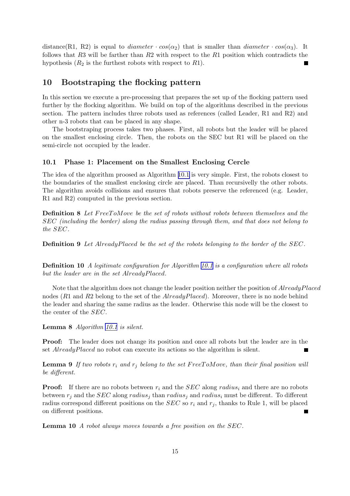<span id="page-16-0"></span>distance(R1, R2) is equal to diameter  $\cos(\alpha_2)$  that is smaller than diameter  $\cos(\alpha_3)$ . It follows that  $R3$  will be farther than  $R2$  with respect to the  $R1$  position which contradicts the hypothesis  $(R_2$  is the furthest robots with respect to  $R_1$ ).

## 10 Bootstraping the flocking pattern

In this section we execute a pre-processing that prepares the set up of the flocking pattern used further by the flocking algorithm. We build on top of the algorithms described in the previous section. The pattern includes three robots used as references (called Leader, R1 and R2) and other n-3 robots that can be placed in any shape.

The bootstraping process takes two phases. First, all robots but the leader will be placed on the smallest enclosing circle. Then, the robots on the SEC but R1 will be placed on the semi-circle not occupied by the leader.

#### 10.1 Phase 1: Placement on the Smallest Enclosing Cercle

The idea of the algorithm proosed as Algorithm [10.1](#page-17-0) is very simple. First, the robots closest to the boundaries of the smallest enclosing circle are placed. Than recursivelly the other robots. The algorithm avoids collisions and ensures that robots preserve the referenced (e.g. Leader, R1 and R2) computed in the previous section.

**Definition 8** Let FreeToMove be the set of robots without robots between themselves and the SEC (including the border) along the radius passing through them, and that does not belong to the SEC.

Definition 9 Let AlreadyPlaced be the set of the robots belonging to the border of the SEC.

Definition 10 A legitimate configuration for Algorithm [10.1](#page-17-0) is a configuration where all robots but the leader are in the set AlreadyPlaced.

Note that the algorithm does not change the leader position neither the position of AlreadyPlaced nodes (R1 and R2 belong to the set of the *AlreadyPlaced*). Moreover, there is no node behind the leader and sharing the same radius as the leader. Otherwise this node will be the closest to the center of the SEC.

Lemma 8 Algorithm [10.1](#page-17-0) is silent.

Proof: The leader does not change its position and once all robots but the leader are in the set AlreadyPlaced no robot can execute its actions so the algorithm is silent.

**Lemma 9** If two robots  $r_i$  and  $r_j$  belong to the set FreeToMove, than their final position will be different.

**Proof:** If there are no robots between  $r_i$  and the *SEC* along *radius<sub>i</sub>* and there are no robots between  $r_j$  and the *SEC* along *radius<sub>i</sub>* than *radius<sub>i</sub>* and *radius<sub>i</sub>* must be different. To different radius correspond different positions on the SEC so  $r_i$  and  $r_j$ , thanks to Rule 1, will be placed on different positions.

Lemma 10 A robot always moves towards a free position on the SEC.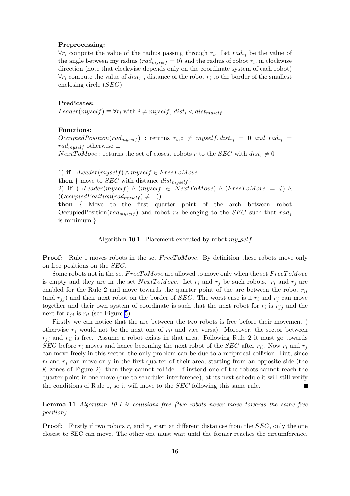#### <span id="page-17-0"></span>Preprocessing:

 $\forall r_i$  compute the value of the radius passing through  $r_i$ . Let  $rad_{r_i}$  be the value of the angle between my radius  $(rad_{myself} = 0)$  and the radius of robot  $r_i$ , in clockwise direction (note that clockwise depends only on the coordinate system of each robot)  $\forall r_i$  compute the value of  $dist_{r_i}$ , distance of the robot  $r_i$  to the border of the smallest enclosing circle (SEC)

#### Predicates:

Leader(myself)  $\equiv \forall r_i$  with  $i \neq myself$ , dist<sub>i</sub> < dist<sub>myself</sub>

#### Functions:

 $OccupiedPosition(rad_{myself})$  : returns  $r_i, i \neq myself, dist_{r_i} = 0$  and  $rad_{r_i} =$  $rad_{myself}$  otherwise  $\perp$ 

 $NextToMove: returns the set of closest robots r to the SEC with  $dist_r \neq 0$$ 

1) if  $\neg Leader(myself) \wedge myself \in FreeToMove$ then { move to *SEC* with distance  $dist_{myself}$ } 2) if  $(\neg Leader(myself) \land (myself \in NextToMove) \land (FreeToMove = \emptyset) \land$  $(OccupiedPosition(rad_{myself}) \neq \bot)$ ) then { Move to the first quarter point of the arch between robot

OccupiedPosition(rad<sub>myself</sub>) and robot  $r_j$  belonging to the *SEC* such that rad<sub>j</sub> is minimum.}

Algorithm 10.1: Placement executed by robot  $my\_self$ 

**Proof:** Rule 1 moves robots in the set  $FreeToMove$ . By definition these robots move only on free positions on the SEC.

Some robots not in the set  $FreeToMove$  are allowed to move only when the set  $FreeToMove$ is empty and they are in the set NextToMove. Let  $r_i$  and  $r_j$  be such robots.  $r_i$  and  $r_j$  are enabled for the Rule 2 and move towards the quarter point of the arc between the robot  $r_{ii}$ (and  $r_{jj}$ ) and their next robot on the border of *SEC*. The worst case is if  $r_i$  and  $r_j$  can move together and their own system of coordinate is such that the next robot for  $r_i$  is  $r_{jj}$  and the next for  $r_{ij}$  is  $r_{ii}$  (see Figure [5\)](#page-18-0).

Firstly we can notice that the arc between the two robots is free before their movement ( otherwise  $r_i$  would not be the next one of  $r_{ii}$  and vice versa). Moreover, the sector between  $r_{ij}$  and  $r_{ii}$  is free. Assume a robot exists in that area. Following Rule 2 it must go towards SEC before  $r_i$  moves and hence becoming the next robot of the SEC after  $r_{ii}$ . Now  $r_i$  and  $r_j$ can move freely in this sector, the only problem can be due to a reciprocal collision. But, since  $r_i$  and  $r_j$  can move only in the first quarter of their area, starting from an opposite side (the  $K$  zones of Figure 2), then they cannot collide. If instead one of the robots cannot reach the quarter point in one move (due to scheduler interference), at its next schedule it will still verify the conditions of Rule 1, so it will move to the SEC following this same rule.  $\blacksquare$ 

Lemma 11 Algorithm 10.1 is collisions free (two robots never move towards the same free position).

**Proof:** Firstly if two robots  $r_i$  and  $r_j$  start at different distances from the SEC, only the one closest to SEC can move. The other one must wait until the former reaches the circumference.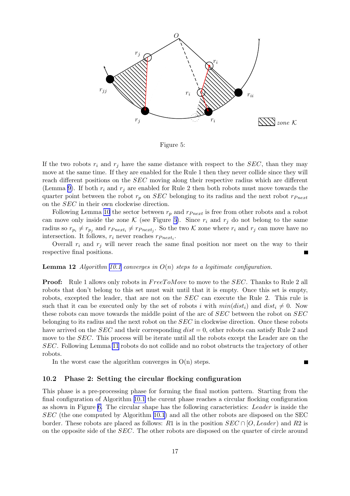<span id="page-18-0"></span>

Figure 5:

If the two robots  $r_i$  and  $r_j$  have the same distance with respect to the SEC, than they may move at the same time. If they are enabled for the Rule 1 then they never collide since they will reach different positions on the *SEC* moving along their respective radius which are different (Lemma [9\)](#page-16-0). If both  $r_i$  and  $r_j$  are enabled for Rule 2 then both robots must move towards the quarter point between the robot  $r_p$  on SEC belonging to its radius and the next robot  $r_{Pnext}$ on the SEC in their own clockwise direction.

Following Lemma [10](#page-16-0) the sector between  $r_p$  and  $r_{P \text{next}}$  is free from other robots and a robot can move only inside the zone K (see Figure 5). Since  $r_i$  and  $r_j$  do not belong to the same radius so  $r_{p_i} \neq r_{p_j}$  and  $r_{Pnext_i} \neq r_{Pnext_j}$ . So the two K zone where  $r_i$  and  $r_j$  can move have no intersection. It follows,  $r_i$  never reaches  $r_{P\text{next}_i}$ .

Overall  $r_i$  and  $r_j$  will never reach the same final position nor meet on the way to their respective final positions.

#### **Lemma 12** Algorithm [10.1](#page-17-0) converges in  $O(n)$  steps to a legitimate configuration.

**Proof:** Rule 1 allows only robots in  $FreeToMove$  to move to the SEC. Thanks to Rule 2 all robots that don't belong to this set must wait until that it is empty. Once this set is empty, robots, excepted the leader, that are not on the SEC can execute the Rule 2. This rule is such that it can be executed only by the set of robots i with  $min(dist_i)$  and  $dist_i \neq 0$ . Now these robots can move towards the middle point of the arc of SEC between the robot on SEC belonging to its radius and the next robot on the SEC in clockwise direction. Once these robots have arrived on the *SEC* and their corresponding  $dist = 0$ , other robots can satisfy Rule 2 and move to the SEC. This process will be iterate until all the robots except the Leader are on the SEC. Following Lemma [11](#page-17-0) robots do not collide and no robot obstructs the trajectory of other robots.

П

In the worst case the algorithm converges in  $O(n)$  steps.

#### 10.2 Phase 2: Setting the circular flocking configuration

This phase is a pre-processing phase for forming the final motion pattern. Starting from the final configuration of Algorithm [10.1](#page-17-0) the curent phase reaches a circular flocking configuration as shown in Figure [6.](#page-19-0) The circular shape has the following caracteristics: Leader is inside the SEC (the one computed by Algorithm [10.1](#page-17-0)) and all the other robots are disposed on the SEC border. These robots are placed as follows: R1 is in the position  $SEC \cap [O, Leader)$  and R2 is on the opposite side of the SEC. The other robots are disposed on the quarter of circle around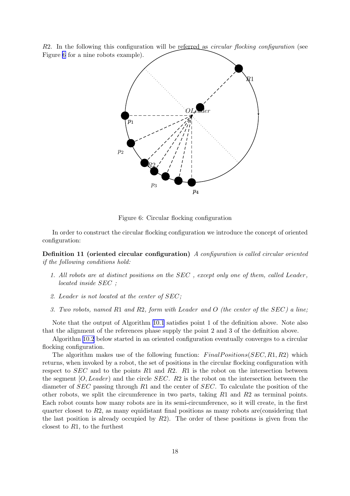<span id="page-19-0"></span>R2. In the following this configuration will be referred as *circular flocking configuration* (see Figure 6 for a nine robots example).



Figure 6: Circular flocking configuration

In order to construct the circular flocking configuration we introduce the concept of oriented configuration:

Definition 11 (oriented circular configuration) A configuration is called circular oriented if the following conditions hold:

- 1. All robots are at distinct positions on the SEC , except only one of them, called Leader, located inside SEC ;
- 2. Leader is not located at the center of SEC;
- 3. Two robots, named R1 and R2, form with Leader and O (the center of the SEC) a line;

Note that the output of Algorithm [10.1](#page-17-0) satisfies point 1 of the definition above. Note also that the alignment of the references phase supply the point 2 and 3 of the definition above.

Algorithm [10.2](#page-20-0) below started in an oriented configuration eventually converges to a circular flocking configuration.

The algorithm makes use of the following function:  $FinalPositions(SEC, R1, R2)$  which returns, when invoked by a robot, the set of positions in the circular flocking configuration with respect to  $SEC$  and to the points R1 and R2. R1 is the robot on the intersection between the segment  $[O, Leader)$  and the circle *SEC*.  $R2$  is the robot on the intersection between the diameter of SEC passing through R1 and the center of SEC. To calculate the position of the other robots, we split the circumference in two parts, taking  $R1$  and  $R2$  as terminal points. Each robot counts how many robots are in its semi-circumference, so it will create, in the first quarter closest to  $R2$ , as many equidistant final positions as many robots are (considering that the last position is already occupied by  $R2$ ). The order of these positions is given from the closest to R1, to the furthest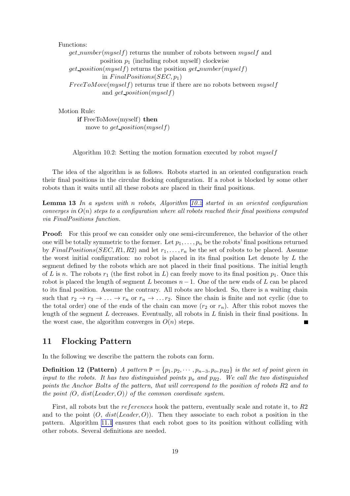<span id="page-20-0"></span>Functions:

 $get_number(myself)$  returns the number of robots between myself and position  $p_1$  (including robot myself) clockwise  $get\_position(myself)$  returns the position  $get_number(myself)$ in  $FinalPositions(SEC, p_1)$  $FreeToMove(myself)$  returns true if there are no robots between  $myself$ and  $get\_position(myself)$ 

Motion Rule:

if FreeToMove(myself) then move to get position(myself)

Algorithm 10.2: Setting the motion formation executed by robot myself

The idea of the algorithm is as follows. Robots started in an oriented configuration reach their final positions in the circular flocking configuration. If a robot is blocked by some other robots than it waits until all these robots are placed in their final positions.

Lemma 13 In a system with n robots, Algorithm 10.2 started in an oriented configuration converges in  $O(n)$  steps to a configuration where all robots reached their final positions computed via FinalPositions function.

**Proof:** For this proof we can consider only one semi-circumference, the behavior of the other one will be totally symmetric to the former. Let  $p_1, \ldots, p_n$  be the robots' final positions returned by  $FinalPositions(SEC, R1, R2)$  and let  $r_1, \ldots, r_n$  be the set of robots to be placed. Assume the worst initial configuration: no robot is placed in its final position Let denote by  $L$  the segment defined by the robots which are not placed in their final positions. The initial length of L is n. The robots  $r_1$  (the first robot in L) can freely move to its final position  $p_1$ . Once this robot is placed the length of segment L becomes  $n-1$ . One of the new ends of L can be placed to its final position. Assume the contrary. All robots are blocked. So, there is a waiting chain such that  $r_2 \to r_3 \to \ldots \to r_n$  or  $r_n \to \ldots r_2$ . Since the chain is finite and not cyclic (due to the total order) one of the ends of the chain can move  $(r_2 \text{ or } r_n)$ . After this robot moves the length of the segment L decreases. Eventually, all robots in L finish in their final positions. In the worst case, the algorithm converges in  $O(n)$  steps.

## 11 Flocking Pattern

In the following we describe the pattern the robots can form.

**Definition 12 (Pattern)** A pattern  $P = \{p_1, p_2, \dots, p_{n-3}, p_o, p_{R2}\}\$ is the set of point given in input to the robots. It has two distinguished points  $p_0$  and  $p_{R2}$ . We call the two distinguished points the Anchor Bolts of the pattern, that will correspond to the position of robots R2 and to the point  $(O, dist(Leader, O))$  of the common coordinate system.

First, all robots but the *references* hook the pattern, eventually scale and rotate it, to R2 and to the point  $(O, dist(Leader, O))$ . Then they associate to each robot a position in the pattern. Algorithm [11.1](#page-21-0) ensures that each robot goes to its position without colliding with other robots. Several definitions are needed.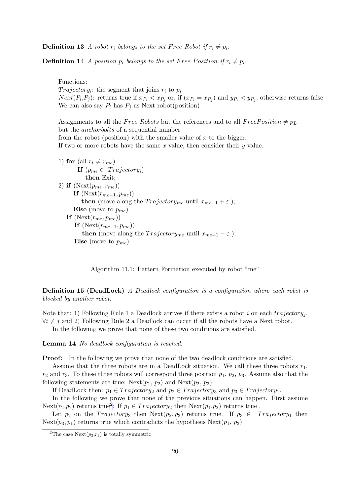<span id="page-21-0"></span>**Definition 13** A robot  $r_i$  belongs to the set Free Robot if  $r_i \neq p_i$ .

**Definition 14** A position  $p_i$  belongs to the set Free Position if  $r_i \neq p_i$ .

Functions:

Trajectory<sub>i</sub>: the segment that joins  $r_i$  to  $p_i$  $Next(P_i, P_j):$  returns true if  $x_{P_i} < x_{P_j}$  or, if  $(x_{P_i} = x_{P_j})$  and  $y_{P_i} < y_{P_j}$ ; otherwise returns false We can also say  $P_i$  has  $P_j$  as Next robot(position)

Assignments to all the Free Robots but the references and to all  $FreePosition \neq p_L$ but the anchorbolts of a sequential number from the robot (position) with the smaller value of  $x$  to the bigger. If two or more robots have the same  $x$  value, then consider their  $y$  value.

```
1) for (all r_i \neq r_{me})
        If (p_{me} \in Trajectory_i)then Exit;
2) if (Next(p_{me}, r_{me}))If (Next(r_{me-1}, p_{me}))then (move along the Trajectory<sub>me</sub> until x_{me-1} + \varepsilon);
      Else (move to p_{me})
   If (Next(r_{me}, p_{me}))If (Next(r_{me+1}, p_{me}))then (move along the Trajectory<sub>me</sub> until x_{me+1} - \varepsilon);
      Else (move to p_{me})
```
Algorithm 11.1: Pattern Formation executed by robot "me"

**Definition 15 (DeadLock)** A Deadlock configuration is a configuration where each robot is blocked by another robot.

Note that: 1) Following Rule 1 a Deadlock arrives if there exists a robot i on each trajectory.  $\forall i \neq j$  and 2) Following Rule 2 a Deadlock can occur if all the robots have a Next robot.

In the following we prove that none of these two conditions are satisfied.

Lemma 14 No deadlock configuration is reached.

**Proof:** In the following we prove that none of the two deadlock conditions are satisfied.

Assume that the three robots are in a DeadLock situation. We call these three robots  $r_1$ ,  $r_2$  and  $r_3$ . To these three robots will correspond three position  $p_1, p_2, p_3$ . Assume also that the following statements are true:  $Next(p_1, p_2)$  and  $Next(p_2, p_3)$ .

If DeadLock then:  $p_1 \in Trajectories$  and  $p_2 \in Trajectories$  and  $p_3 \in Trajectories$ .

In the following we prove that none of the previous situations can happen. First assume Next( $r_2, p_2$ ) returns true<sup>2</sup>: If  $p_1 \in Trajectories_2$  then Next( $p_1, p_2$ ) returns true.

Let  $p_2$  on the Trajectory<sub>3</sub> then Next( $p_2, p_3$ ) returns true. If  $p_3 \in Trajectory_1$  then Next( $p_3, p_1$ ) returns true which contradicts the hypothesis Next( $p_1, p_3$ ).

<sup>&</sup>lt;sup>2</sup>The case Next( $p_2,r_2$ ) is totally symmetric